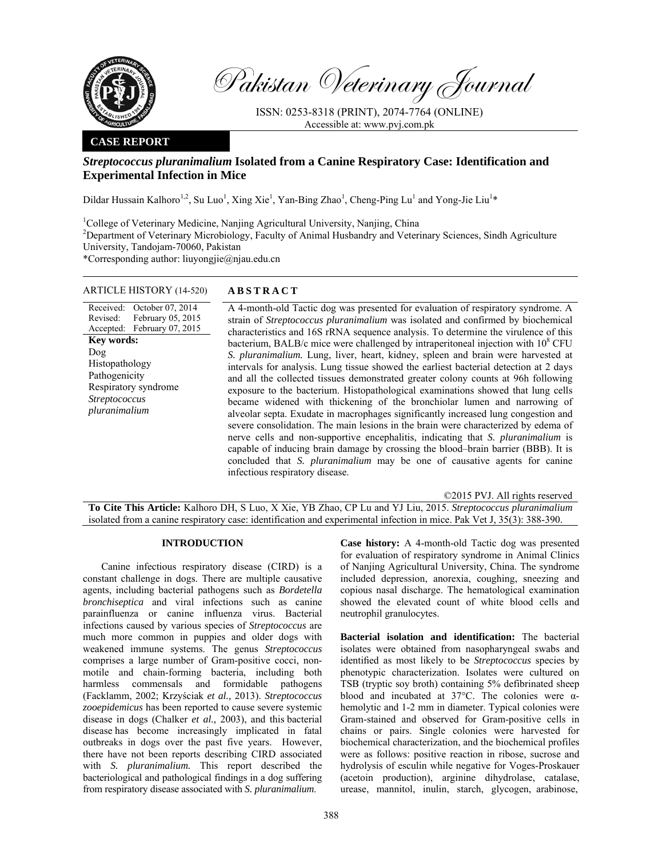

Pakistan Veterinary Journal

ISSN: 0253-8318 (PRINT), 2074-7764 (ONLINE) Accessible at: www.pvj.com.pk

### **CASE REPORT**

# *Streptococcus pluranimalium* **Isolated from a Canine Respiratory Case: Identification and Experimental Infection in Mice**

Dildar Hussain Kalhoro<sup>1,2</sup>, Su Luo<sup>1</sup>, Xing Xie<sup>1</sup>, Yan-Bing Zhao<sup>1</sup>, Cheng-Ping Lu<sup>1</sup> and Yong-Jie Liu<sup>1</sup>\*

<sup>1</sup>College of Veterinary Medicine, Nanjing Agricultural University, Nanjing, China

<sup>2</sup>Department of Veterinary Microbiology, Faculty of Animal Husbandry and Veterinary Sciences, Sindh Agriculture University, Tandojam-70060, Pakistan

\*Corresponding author: liuyongjie@njau.edu.cn

#### ARTICLE HISTORY (14-520) **ABSTRACT**

Received: October 07, 2014 Revised: Accepted: February 05, 2015 February 07, 2015 **Key words:**  Dog Histopathology Pathogenicity Respiratory syndrome *Streptococcus pluranimalium*

 A 4-month-old Tactic dog was presented for evaluation of respiratory syndrome. A strain of *Streptococcus pluranimalium* was isolated and confirmed by biochemical characteristics and 16S rRNA sequence analysis. To determine the virulence of this bacterium, BALB/c mice were challenged by intraperitoneal injection with  $10^8$  CFU *S. pluranimalium.* Lung, liver, heart, kidney, spleen and brain were harvested at intervals for analysis. Lung tissue showed the earliest bacterial detection at 2 days and all the collected tissues demonstrated greater colony counts at 96h following exposure to the bacterium. Histopathological examinations showed that lung cells became widened with thickening of the bronchiolar lumen and narrowing of alveolar septa. Exudate in macrophages significantly increased lung congestion and severe consolidation. The main lesions in the brain were characterized by edema of nerve cells and non-supportive encephalitis, indicating that *S. pluranimalium* is capable of inducing brain damage by crossing the blood–brain barrier (BBB). It is concluded that *S. pluranimalium* may be one of causative agents for canine infectious respiratory disease.

©2015 PVJ. All rights reserved

**To Cite This Article:** Kalhoro DH, S Luo, X Xie, YB Zhao, CP Lu and YJ Liu, 2015. *Streptococcus pluranimalium* isolated from a canine respiratory case: identification and experimental infection in mice. Pak Vet J, 35(3): 388-390.

#### **INTRODUCTION**

Canine infectious respiratory disease (CIRD) is a constant challenge in dogs. There are multiple causative agents, including bacterial pathogens such as *Bordetella bronchiseptica* and viral infections such as canine parainfluenza or canine influenza virus. Bacterial infections caused by various species of *Streptococcus* are much more common in puppies and older dogs with weakened immune systems. The genus *Streptococcus*  comprises a large number of Gram-positive cocci, nonmotile and chain-forming bacteria, including both harmless commensals and formidable pathogens (Facklamm, 2002; Krzyściak *et al.,* 2013). *Streptococcus zooepidemicus* has been reported to cause severe systemic disease in dogs (Chalker *et al.,* 2003), and this bacterial disease has become increasingly implicated in fatal outbreaks in dogs over the past five years. However, there have not been reports describing CIRD associated with *S. pluranimalium.* This report described the bacteriological and pathological findings in a dog suffering from respiratory disease associated with *S. pluranimalium*.

**Case history:** A 4-month-old Tactic dog was presented for evaluation of respiratory syndrome in Animal Clinics of Nanjing Agricultural University, China. The syndrome included depression, anorexia, coughing, sneezing and copious nasal discharge. The hematological examination showed the elevated count of white blood cells and neutrophil granulocytes.

**Bacterial isolation and identification:** The bacterial isolates were obtained from nasopharyngeal swabs and identified as most likely to be *Streptococcus* species by phenotypic characterization. Isolates were cultured on TSB (tryptic soy broth) containing 5% defibrinated sheep blood and incubated at 37°C. The colonies were αhemolytic and 1-2 mm in diameter. Typical colonies were Gram-stained and observed for Gram-positive cells in chains or pairs. Single colonies were harvested for biochemical characterization, and the biochemical profiles were as follows: positive reaction in ribose, sucrose and hydrolysis of esculin while negative for Voges-Proskauer (acetoin production), arginine dihydrolase, catalase, urease, mannitol, inulin, starch, glycogen, arabinose,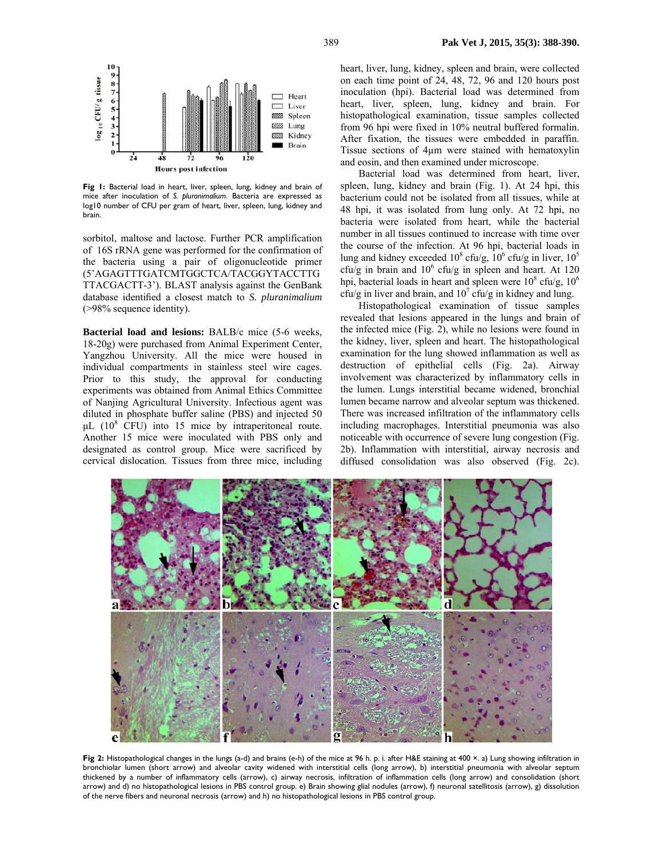

**Fig 1:** Bacterial load in heart, liver, spleen, lung, kidney and brain of mice after inoculation of *S. pluranimalium*. Bacteria are expressed as log10 number of CFU per gram of heart, liver, spleen, lung, kidney and brain.

sorbitol, maltose and lactose. Further PCR amplification of 16S rRNA gene was performed for the confirmation of the bacteria using a pair of oligonucleotide primer (5'AGAGTTTGATCMTGGCTCA/TACGGYTACCTTG TTACGACTT-3'). BLAST analysis against the GenBank database identified a closest match to *S. pluranimalium* (>98% sequence identity).

**Bacterial load and lesions:** BALB/c mice (5-6 weeks, 18-20g) were purchased from Animal Experiment Center, Yangzhou University. All the mice were housed in individual compartments in stainless steel wire cages. Prior to this study, the approval for conducting experiments was obtained from Animal Ethics Committee of Nanjing Agricultural University. Infectious agent was diluted in phosphate buffer saline (PBS) and injected 50  $\mu$ L (10<sup>8</sup> CFU) into 15 mice by intraperitoneal route. Another 15 mice were inoculated with PBS only and designated as control group. Mice were sacrificed by cervical dislocation. Tissues from three mice, including

heart, liver, lung, kidney, spleen and brain, were collected on each time point of 24, 48, 72, 96 and 120 hours post inoculation (hpi). Bacterial load was determined from heart, liver, spleen, lung, kidney and brain. For histopathological examination, tissue samples collected from 96 hpi were fixed in 10% neutral buffered formalin. After fixation, the tissues were embedded in paraffin. Tissue sections of 4µm were stained with hematoxylin and eosin, and then examined under microscope.

Bacterial load was determined from heart, liver, spleen, lung, kidney and brain (Fig. 1). At 24 hpi, this bacterium could not be isolated from all tissues, while at 48 hpi, it was isolated from lung only. At 72 hpi, no bacteria were isolated from heart, while the bacterial number in all tissues continued to increase with time over the course of the infection. At 96 hpi, bacterial loads in lung and kidney exceeded  $10^8$  cfu/g,  $10^6$  cfu/g in liver,  $10^5$ cfu/g in brain and  $10^6$  cfu/g in spleen and heart. At 120 hpi, bacterial loads in heart and spleen were  $10^8$  cfu/g,  $10^6$  $cfu/g$  in liver and brain, and  $10^7$  cfu/g in kidney and lung.

Histopathological examination of tissue samples revealed that lesions appeared in the lungs and brain of the infected mice (Fig. 2), while no lesions were found in the kidney, liver, spleen and heart. The histopathological examination for the lung showed inflammation as well as destruction of epithelial cells (Fig. 2a). Airway involvement was characterized by inflammatory cells in the lumen. Lungs interstitial became widened, bronchial lumen became narrow and alveolar septum was thickened. There was increased infiltration of the inflammatory cells including macrophages. Interstitial pneumonia was also noticeable with occurrence of severe lung congestion (Fig. 2b). Inflammation with interstitial, airway necrosis and diffused consolidation was also observed (Fig. 2c).



**Fig 2:** Histopathological changes in the lungs (a-d) and brains (e-h) of the mice at 96 h. p. i. after H&E staining at 400 ×. a) Lung showing infiltration in bronchiolar lumen (short arrow) and alveolar cavity widened with interstitial cells (long arrow), b) interstitial pneumonia with alveolar septum thickened by a number of inflammatory cells (arrow), c) airway necrosis, infiltration of inflammation cells (long arrow) and consolidation (short arrow) and d) no histopathological lesions in PBS control group. e) Brain showing glial nodules (arrow), f) neuronal satellitosis (arrow), g) dissolution of the nerve fibers and neuronal necrosis (arrow) and h) no histopathological lesions in PBS control group.